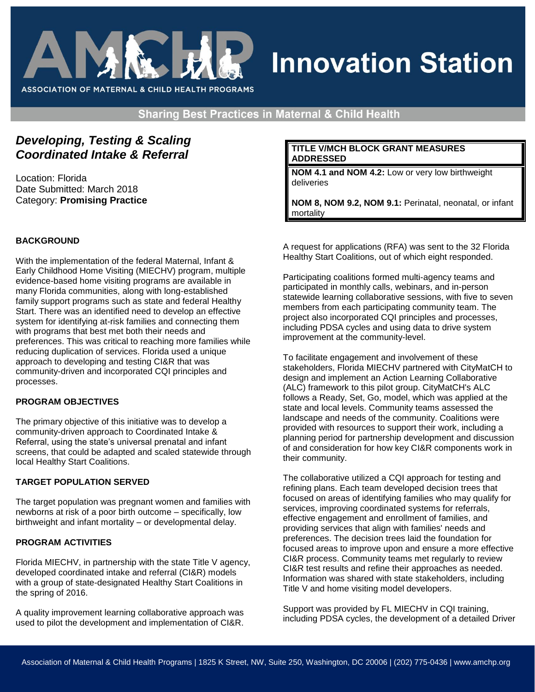

# **Innovation Station**

**Sharing Best Practices in Maternal & Child Health** 

# *Developing, Testing & Scaling Coordinated Intake & Referral*

Location: Florida Date Submitted: March 2018 Category: **Promising Practice** 

# **BACKGROUND**

With the implementation of the federal Maternal, Infant & Early Childhood Home Visiting (MIECHV) program, multiple evidence-based home visiting programs are available in many Florida communities, along with long-established family support programs such as state and federal Healthy Start. There was an identified need to develop an effective system for identifying at-risk families and connecting them with programs that best met both their needs and preferences. This was critical to reaching more families while reducing duplication of services. Florida used a unique approach to developing and testing CI&R that was community-driven and incorporated CQI principles and processes.

#### **PROGRAM OBJECTIVES**

The primary objective of this initiative was to develop a community-driven approach to Coordinated Intake & Referral, using the state's universal prenatal and infant screens, that could be adapted and scaled statewide through local Healthy Start Coalitions.

#### **TARGET POPULATION SERVED**

The target population was pregnant women and families with newborns at risk of a poor birth outcome – specifically, low birthweight and infant mortality – or developmental delay.

#### **PROGRAM ACTIVITIES**

Florida MIECHV, in partnership with the state Title V agency, developed coordinated intake and referral (CI&R) models with a group of state-designated Healthy Start Coalitions in the spring of 2016.

A quality improvement learning collaborative approach was used to pilot the development and implementation of CI&R.

#### **TITLE V/MCH BLOCK GRANT MEASURES ADDRESSED**

**NOM 4.1 and NOM 4.2:** Low or very low birthweight deliveries

**NOM 8, NOM 9.2, NOM 9.1:** Perinatal, neonatal, or infant mortality

A request for applications (RFA) was sent to the 32 Florida Healthy Start Coalitions, out of which eight responded.

Participating coalitions formed multi-agency teams and participated in monthly calls, webinars, and in-person statewide learning collaborative sessions, with five to seven members from each participating community team. The project also incorporated CQI principles and processes, including PDSA cycles and using data to drive system improvement at the community-level.

To facilitate engagement and involvement of these stakeholders, Florida MIECHV partnered with CityMatCH to design and implement an Action Learning Collaborative (ALC) framework to this pilot group. CityMatCH's ALC follows a Ready, Set, Go, model, which was applied at the state and local levels. Community teams assessed the landscape and needs of the community. Coalitions were provided with resources to support their work, including a planning period for partnership development and discussion of and consideration for how key CI&R components work in their community.

The collaborative utilized a CQI approach for testing and refining plans. Each team developed decision trees that focused on areas of identifying families who may qualify for services, improving coordinated systems for referrals, effective engagement and enrollment of families, and providing services that align with families' needs and preferences. The decision trees laid the foundation for focused areas to improve upon and ensure a more effective CI&R process. Community teams met regularly to review CI&R test results and refine their approaches as needed. Information was shared with state stakeholders, including Title V and home visiting model developers.

Support was provided by FL MIECHV in CQI training, including PDSA cycles, the development of a detailed Driver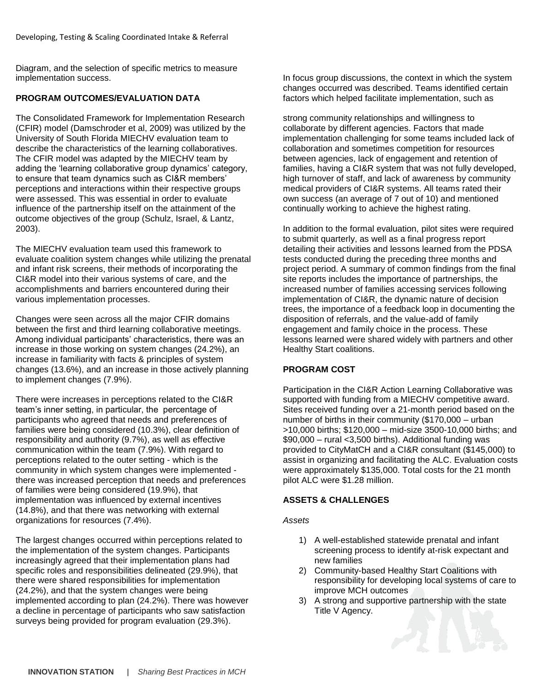Diagram, and the selection of specific metrics to measure implementation success.

## **PROGRAM OUTCOMES/EVALUATION DATA**

The Consolidated Framework for Implementation Research (CFIR) model (Damschroder et al, 2009) was utilized by the University of South Florida MIECHV evaluation team to describe the characteristics of the learning collaboratives. The CFIR model was adapted by the MIECHV team by adding the 'learning collaborative group dynamics' category, to ensure that team dynamics such as CI&R members' perceptions and interactions within their respective groups were assessed. This was essential in order to evaluate influence of the partnership itself on the attainment of the outcome objectives of the group (Schulz, Israel, & Lantz, 2003).

The MIECHV evaluation team used this framework to evaluate coalition system changes while utilizing the prenatal and infant risk screens, their methods of incorporating the CI&R model into their various systems of care, and the accomplishments and barriers encountered during their various implementation processes.

Changes were seen across all the major CFIR domains between the first and third learning collaborative meetings. Among individual participants' characteristics, there was an increase in those working on system changes (24.2%), an increase in familiarity with facts & principles of system changes (13.6%), and an increase in those actively planning to implement changes (7.9%).

There were increases in perceptions related to the CI&R team's inner setting, in particular, the percentage of participants who agreed that needs and preferences of families were being considered (10.3%), clear definition of responsibility and authority (9.7%), as well as effective communication within the team (7.9%). With regard to perceptions related to the outer setting - which is the community in which system changes were implemented there was increased perception that needs and preferences of families were being considered (19.9%), that implementation was influenced by external incentives (14.8%), and that there was networking with external organizations for resources (7.4%).

The largest changes occurred within perceptions related to the implementation of the system changes. Participants increasingly agreed that their implementation plans had specific roles and responsibilities delineated (29.9%), that there were shared responsibilities for implementation (24.2%), and that the system changes were being implemented according to plan (24.2%). There was however a decline in percentage of participants who saw satisfaction surveys being provided for program evaluation (29.3%).

In focus group discussions, the context in which the system changes occurred was described. Teams identified certain factors which helped facilitate implementation, such as

strong community relationships and willingness to collaborate by different agencies. Factors that made implementation challenging for some teams included lack of collaboration and sometimes competition for resources between agencies, lack of engagement and retention of families, having a CI&R system that was not fully developed, high turnover of staff, and lack of awareness by community medical providers of CI&R systems. All teams rated their own success (an average of 7 out of 10) and mentioned continually working to achieve the highest rating.

In addition to the formal evaluation, pilot sites were required to submit quarterly, as well as a final progress report detailing their activities and lessons learned from the PDSA tests conducted during the preceding three months and project period. A summary of common findings from the final site reports includes the importance of partnerships, the increased number of families accessing services following implementation of CI&R, the dynamic nature of decision trees, the importance of a feedback loop in documenting the disposition of referrals, and the value-add of family engagement and family choice in the process. These lessons learned were shared widely with partners and other Healthy Start coalitions.

# **PROGRAM COST**

Participation in the CI&R Action Learning Collaborative was supported with funding from a MIECHV competitive award. Sites received funding over a 21-month period based on the number of births in their community (\$170,000 – urban >10,000 births; \$120,000 – mid-size 3500-10,000 births; and  $$90,000 - r$ ural <3,500 births). Additional funding was provided to CityMatCH and a CI&R consultant (\$145,000) to assist in organizing and facilitating the ALC. Evaluation costs were approximately \$135,000. Total costs for the 21 month pilot ALC were \$1.28 million.

#### **ASSETS & CHALLENGES**

*Assets*

- 1) A well-established statewide prenatal and infant screening process to identify at-risk expectant and new families
- 2) Community-based Healthy Start Coalitions with responsibility for developing local systems of care to improve MCH outcomes
- 3) A strong and supportive partnership with the state Title V Agency.